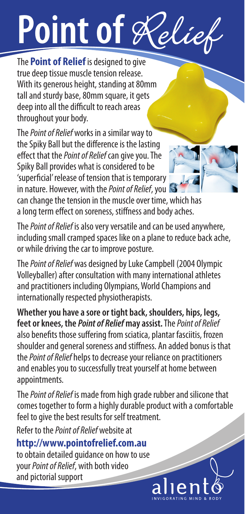# Point of Relie

The **Point of Relief** is designed to give true deep tissue muscle tension release. With its generous height, standing at 80mm tall and sturdy base, 80mm square, it gets deep into all the difficult to reach areas throughout your body.

The Point of Relief works in a similar way to the Spiky Ball but the diference is the lasting efect that the Point of Relief can give you. The Spiky Ball provides what is considered to be 'superfcial' release of tension that is temporary in nature. However, with the *Point of Relief*, you



can change the tension in the muscle over time, which has a long term efect on soreness, stifness and body aches.

The Point of Relief is also very versatile and can be used anywhere, including small cramped spaces like on a plane to reduce back ache, or while driving the car to improve posture.

The Point of Relief was designed by Luke Campbell (2004 Olympic Volleyballer) after consultation with many international athletes and practitioners including Olympians, World Champions and internationally respected physiotherapists.

**Whether you have a sore or tight back, shoulders, hips, legs, feet or knees, the Point of Relief may assist.** The Point of Relief also benefts those sufering from sciatica, plantar fasciitis, frozen shoulder and general soreness and stifness. An added bonus is that the *Point of Relief* helps to decrease your reliance on practitioners and enables you to successfully treat yourself at home between appointments.

The Point of Relief is made from high grade rubber and silicone that comes together to form a highly durable product with a comfortable feel to give the best results for self treatment.

Refer to the Point of Relief website at

## **http://www.pointofrelief.com.au**

to obtain detailed guidance on how to use your Point of Relief, with both video and pictorial support